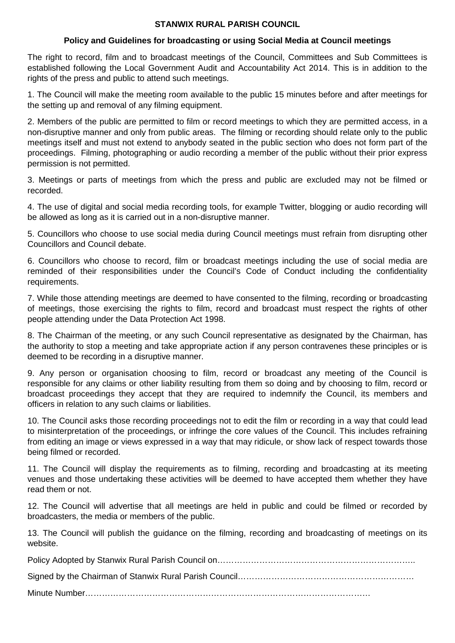## **STANWIX RURAL PARISH COUNCIL**

## **Policy and Guidelines for broadcasting or using Social Media at Council meetings**

The right to record, film and to broadcast meetings of the Council, Committees and Sub Committees is established following the Local Government Audit and Accountability Act 2014. This is in addition to the rights of the press and public to attend such meetings.

1. The Council will make the meeting room available to the public 15 minutes before and after meetings for the setting up and removal of any filming equipment.

2. Members of the public are permitted to film or record meetings to which they are permitted access, in a non-disruptive manner and only from public areas. The filming or recording should relate only to the public meetings itself and must not extend to anybody seated in the public section who does not form part of the proceedings. Filming, photographing or audio recording a member of the public without their prior express permission is not permitted.

3. Meetings or parts of meetings from which the press and public are excluded may not be filmed or recorded.

4. The use of digital and social media recording tools, for example Twitter, blogging or audio recording will be allowed as long as it is carried out in a non-disruptive manner.

5. Councillors who choose to use social media during Council meetings must refrain from disrupting other Councillors and Council debate.

6. Councillors who choose to record, film or broadcast meetings including the use of social media are reminded of their responsibilities under the Council's Code of Conduct including the confidentiality requirements.

7. While those attending meetings are deemed to have consented to the filming, recording or broadcasting of meetings, those exercising the rights to film, record and broadcast must respect the rights of other people attending under the Data Protection Act 1998.

8. The Chairman of the meeting, or any such Council representative as designated by the Chairman, has the authority to stop a meeting and take appropriate action if any person contravenes these principles or is deemed to be recording in a disruptive manner.

9. Any person or organisation choosing to film, record or broadcast any meeting of the Council is responsible for any claims or other liability resulting from them so doing and by choosing to film, record or broadcast proceedings they accept that they are required to indemnify the Council, its members and officers in relation to any such claims or liabilities.

10. The Council asks those recording proceedings not to edit the film or recording in a way that could lead to misinterpretation of the proceedings, or infringe the core values of the Council. This includes refraining from editing an image or views expressed in a way that may ridicule, or show lack of respect towards those being filmed or recorded.

11. The Council will display the requirements as to filming, recording and broadcasting at its meeting venues and those undertaking these activities will be deemed to have accepted them whether they have read them or not.

12. The Council will advertise that all meetings are held in public and could be filmed or recorded by broadcasters, the media or members of the public.

13. The Council will publish the guidance on the filming, recording and broadcasting of meetings on its website.